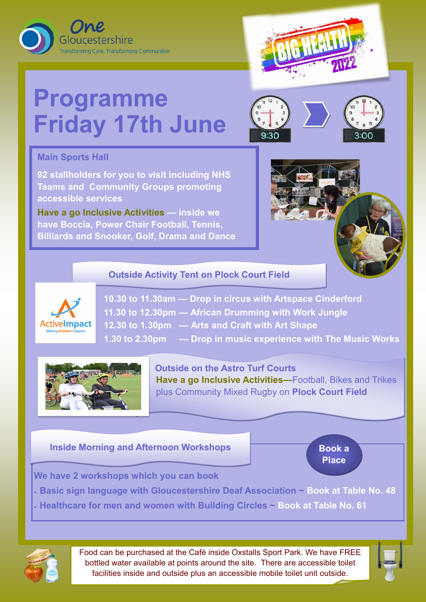



# **Programme Friday 17th June**



## **Main Sports Hall**

**92 stallholders for you to visit including NHS Teams and Community Groups promoting accessible services**

**Have a go Inclusive Activities — inside we have Boccia, Power Chair Football, Tennis, Billiards and Snooker, Golf, Drama and Dance**



**10.30 to 11.30am — Drop in circus with Artspace Cinderford 11.30 to 12.30pm — African Drumming with Work Jungle 12.30 to 1.30pm — Arts and Craft with Art Shape 1.30 to 2.30pm — Drop in music experience with The Music Works** 



**Outside on the Astro Turf Courts Have a go Inclusive Activities—**Football, Bikes and Trikes plus Community Mixed Rugby on **Plock Court Field** 

### **We have 2 workshops which you can book**

- **Basic sign language with Gloucestershire Deaf Association ~ Book at Table No. 48**
- **Healthcare for men and women with Building Circles ~ Book at Table No. 61**



#### **Inside Morning and Afternoon Workshops**

Food can be purchased at the Café inside Oxstalls Sport Park. We have FREE bottled water available at points around the site. There are accessible toilet facilities inside and outside plus an accessible mobile toilet unit outside.

**Book a** 





#### **Outside Activity Tent on Plock Court Field**